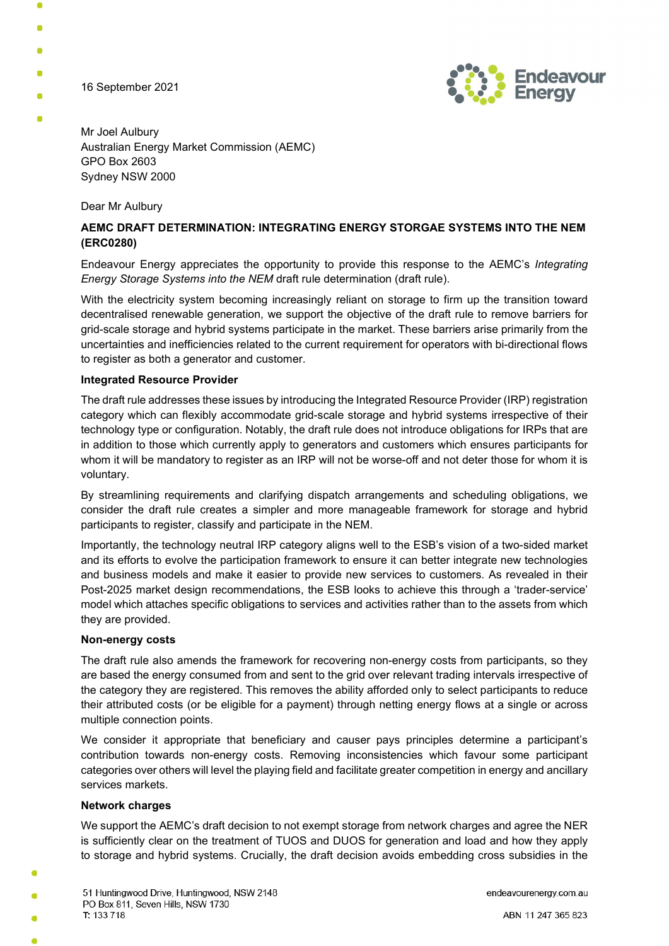16 September 2021



Mr Joel Aulbury Australian Energy Market Commission (AEMC) GPO Box 2603 Sydney NSW 2000

Dear Mr Aulbury

# AEMC DRAFT DETERMINATION: INTEGRATING ENERGY STORGAE SYSTEMS INTO THE NEM (ERC0280)

Endeavour Energy appreciates the opportunity to provide this response to the AEMC's Integrating Energy Storage Systems into the NEM draft rule determination (draft rule).

With the electricity system becoming increasingly reliant on storage to firm up the transition toward decentralised renewable generation, we support the objective of the draft rule to remove barriers for grid-scale storage and hybrid systems participate in the market. These barriers arise primarily from the uncertainties and inefficiencies related to the current requirement for operators with bi-directional flows to register as both a generator and customer.

### Integrated Resource Provider

The draft rule addresses these issues by introducing the Integrated Resource Provider (IRP) registration category which can flexibly accommodate grid-scale storage and hybrid systems irrespective of their technology type or configuration. Notably, the draft rule does not introduce obligations for IRPs that are in addition to those which currently apply to generators and customers which ensures participants for whom it will be mandatory to register as an IRP will not be worse-off and not deter those for whom it is voluntary.

By streamlining requirements and clarifying dispatch arrangements and scheduling obligations, we consider the draft rule creates a simpler and more manageable framework for storage and hybrid participants to register, classify and participate in the NEM.

Importantly, the technology neutral IRP category aligns well to the ESB's vision of a two-sided market and its efforts to evolve the participation framework to ensure it can better integrate new technologies and business models and make it easier to provide new services to customers. As revealed in their Post-2025 market design recommendations, the ESB looks to achieve this through a 'trader-service' model which attaches specific obligations to services and activities rather than to the assets from which they are provided.

#### Non-energy costs

The draft rule also amends the framework for recovering non-energy costs from participants, so they are based the energy consumed from and sent to the grid over relevant trading intervals irrespective of the category they are registered. This removes the ability afforded only to select participants to reduce their attributed costs (or be eligible for a payment) through netting energy flows at a single or across multiple connection points.

We consider it appropriate that beneficiary and causer pays principles determine a participant's contribution towards non-energy costs. Removing inconsistencies which favour some participant categories over others will level the playing field and facilitate greater competition in energy and ancillary services markets.

#### Network charges

We support the AEMC's draft decision to not exempt storage from network charges and agree the NER is sufficiently clear on the treatment of TUOS and DUOS for generation and load and how they apply to storage and hybrid systems. Crucially, the draft decision avoids embedding cross subsidies in the